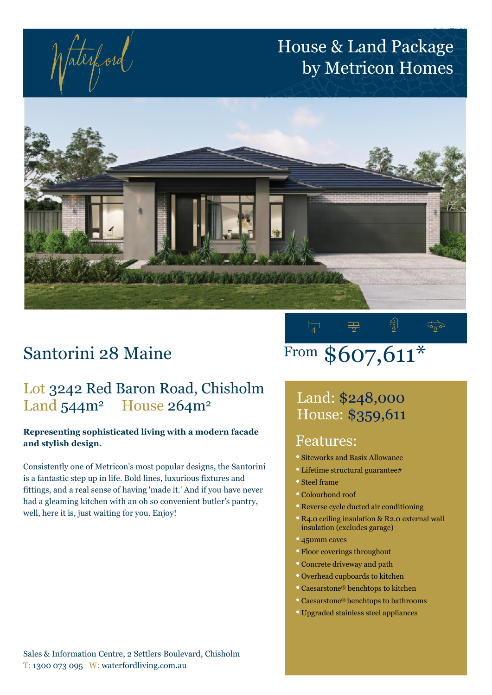faterford

## House & Land Package by Metricon Homes



## Santorini 28 Maine

#### Lot 3242 Red Baron Road, Chisholm Land 544m<sup>2</sup> House 264m<sup>2</sup>

#### Representing sophisticated living with a modern facade and stylish design.

Consistently one of Metricon's most popular designs, the Santorini is a fantastic step up in life. Bold lines, luxurious fixtures and fittings, and a real sense of having 'made it.' And if you have never had a gleaming kitchen with an oh so convenient butler's pantry, well, here it is, just waiting for you. Enjoy!

### $\overline{4}$   $\overline{2}$   $\overline{2}$   $\overline{2}$   $\overline{2}$ From \$607,611\*

### Land: \$248,000 House: \$359,611

#### Features:

- Siteworks and Basix Allowance
- Lifetime structural guarantee#
- Steel frame
- Colourbond roof
- Reverse cycle ducted air conditioning
- R4.0 ceiling insulation & R2.0 external wall insulation (excludes garage)
- 450mm eaves
- Floor coverings throughout
- Concrete driveway and path
- Overhead cupboards to kitchen
- Caesarstone® benchtops to kitchen
- Caesarstone® benchtops to bathrooms
- Upgraded stainless steel appliances